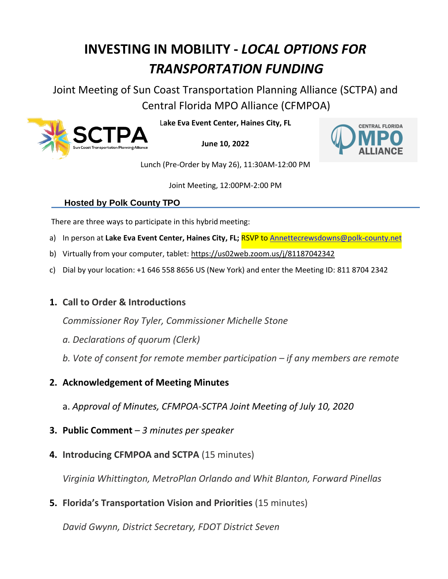# **INVESTING IN MOBILITY -** *LOCAL OPTIONS FOR TRANSPORTATION FUNDING*

Joint Meeting of Sun Coast Transportation Planning Alliance (SCTPA) and Central Florida MPO Alliance (CFMPOA)



L**ake Eva Event Center, Haines City, FL**

**June 10, 2022**



Lunch (Pre-Order by May 26), 11:30AM-12:00 PM

Joint Meeting, 12:00PM-2:00 PM

## **Hosted by Polk County TPO**

There are three ways to participate in this hybrid meeting:

- a) In person at **Lake Eva Event Center, Haines City, FL;** RSVP t[o Annettecrewsdowns@polk-county.net](mailto:Annettecrewsdowns@polk-county.net)
- b) Virtually from your computer, tablet:<https://us02web.zoom.us/j/81187042342>
- c) Dial by your location: +1 646 558 8656 US (New York) and enter the Meeting ID: 811 8704 2342

## **1. Call to Order & Introductions**

*Commissioner Roy Tyler, Commissioner Michelle Stone*

- *a. Declarations of quorum (Clerk)*
- *b. Vote of consent for remote member participation – if any members are remote*
- **2. Acknowledgement of Meeting Minutes**
	- a. *Approval of Minutes, CFMPOA-SCTPA Joint Meeting of July 10, 2020*
- **3. Public Comment**  *3 minutes per speaker*
- **4. Introducing CFMPOA and SCTPA** (15 minutes)

*Virginia Whittington, MetroPlan Orlando and Whit Blanton, Forward Pinellas* 

**5. Florida's Transportation Vision and Priorities** (15 minutes)

*David Gwynn, District Secretary, FDOT District Seven*